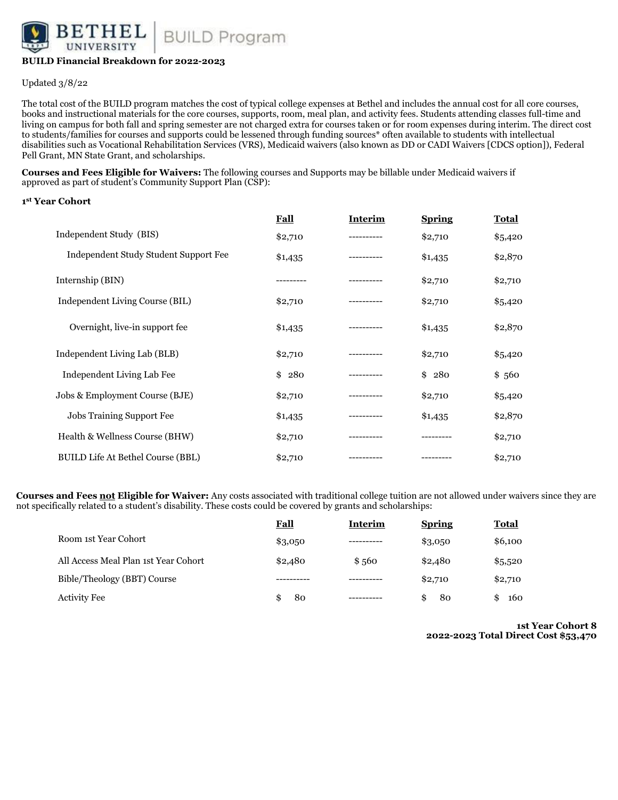

# **BUILD Financial Breakdown for 2022-2023**

Updated 3/8/22

The total cost of the BUILD program matches the cost of typical college expenses at Bethel and includes the annual cost for all core courses, books and instructional materials for the core courses, supports, room, meal plan, and activity fees. Students attending classes full-time and living on campus for both fall and spring semester are not charged extra for courses taken or for room expenses during interim. The direct cost to students/families for courses and supports could be lessened through funding sources\* often available to students with intellectual disabilities such as Vocational Rehabilitation Services (VRS), Medicaid waivers (also known as DD or CADI Waivers [CDCS option]), Federal Pell Grant, MN State Grant, and scholarships.

**Courses and Fees Eligible for Waivers:** The following courses and Supports may be billable under Medicaid waivers if approved as part of student's Community Support Plan (CSP):

### **1st Year Cohort**

|                                          | <b>Fall</b> | <b>Interim</b> | <b>Spring</b> | Total   |
|------------------------------------------|-------------|----------------|---------------|---------|
| Independent Study (BIS)                  | \$2,710     |                | \$2,710       | \$5,420 |
| Independent Study Student Support Fee    | \$1,435     |                | \$1,435       | \$2,870 |
| Internship (BIN)                         | --------    | ---------      | \$2,710       | \$2,710 |
| Independent Living Course (BIL)          | \$2,710     | ---------      | \$2,710       | \$5,420 |
| Overnight, live-in support fee.          | \$1,435     |                | \$1,435       | \$2,870 |
| Independent Living Lab (BLB)             | \$2,710     | .              | \$2,710       | \$5,420 |
| Independent Living Lab Fee               | 280<br>\$   |                | 280<br>\$     | \$560   |
| Jobs & Employment Course (BJE)           | \$2,710     |                | \$2,710       | \$5,420 |
| Jobs Training Support Fee                | \$1,435     |                | \$1,435       | \$2,870 |
| Health & Wellness Course (BHW)           | \$2,710     |                |               | \$2,710 |
| <b>BUILD Life At Bethel Course (BBL)</b> | \$2,710     |                |               | \$2,710 |

**Courses and Fees not Eligible for Waiver:** Any costs associated with traditional college tuition are not allowed under waivers since they are not specifically related to a student's disability. These costs could be covered by grants and scholarships:

|                                      | <b>Fall</b> | <b>Interim</b> | <b>Spring</b> | <b>Total</b> |
|--------------------------------------|-------------|----------------|---------------|--------------|
| Room 1st Year Cohort                 | \$3,050     |                | \$3,050       | \$6,100      |
| All Access Meal Plan 1st Year Cohort | \$2,480     | \$560          | \$2,480       | \$5,520      |
| Bible/Theology (BBT) Course          |             |                | \$2,710       | \$2,710      |
| Activity Fee                         | 80<br>\$.   |                | 80<br>\$.     | 160<br>\$    |

**1st Year Cohort 8 2022-2023 Total Direct Cost \$53,470**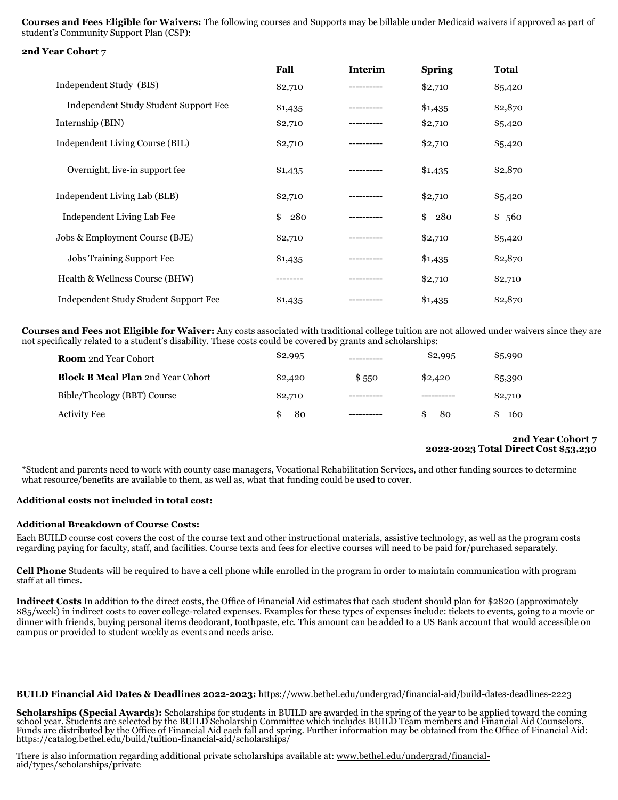**Courses and Fees Eligible for Waivers:** The following courses and Supports may be billable under Medicaid waivers if approved as part of student's Community Support Plan (CSP):

```
2nd Year Cohort 7
```

|                                       | <b>Fall</b> | <b>Interim</b> | <b>Spring</b> | Total     |
|---------------------------------------|-------------|----------------|---------------|-----------|
| Independent Study (BIS)               | \$2,710     |                | \$2,710       | \$5,420   |
| Independent Study Student Support Fee | \$1,435     |                | \$1,435       | \$2,870   |
| Internship (BIN)                      | \$2,710     |                | \$2,710       | \$5,420   |
| Independent Living Course (BIL)       | \$2,710     | . <u>.</u> .   | \$2,710       | \$5,420   |
| Overnight, live-in support fee.       | \$1,435     |                | \$1,435       | \$2,870   |
| Independent Living Lab (BLB)          | \$2,710     |                | \$2,710       | \$5,420   |
| Independent Living Lab Fee            | \$<br>280   |                | 280<br>\$     | \$<br>560 |
| Jobs & Employment Course (BJE)        | \$2,710     |                | \$2,710       | \$5,420   |
| <b>Jobs Training Support Fee</b>      | \$1,435     |                | \$1,435       | \$2,870   |
| Health & Wellness Course (BHW)        |             |                | \$2,710       | \$2,710   |
| Independent Study Student Support Fee | \$1,435     |                | \$1,435       | \$2,870   |

**Courses and Fees not Eligible for Waiver:** Any costs associated with traditional college tuition are not allowed under waivers since they are not specifically related to a student's disability. These costs could be covered by grants and scholarships:

| <b>Room</b> 2nd Year Cohort              | \$2,995 |       | \$2,995 | \$5,990 |
|------------------------------------------|---------|-------|---------|---------|
| <b>Block B Meal Plan 2nd Year Cohort</b> | \$2,420 | \$550 | \$2,420 | \$5,390 |
| Bible/Theology (BBT) Course              | \$2,710 |       |         | \$2,710 |
| <b>Activity Fee</b>                      | 80      |       | 80      | 160     |

# **2nd Year Cohort 7 2022-2023 Total Direct Cost \$53,230**

\*Student and parents need to work with county case managers, Vocational Rehabilitation Services, and other funding sources to determine what resource/benefits are available to them, as well as, what that funding could be used to cover.

# **Additional costs not included in total cost:**

### **Additional Breakdown of Course Costs:**

Each BUILD course cost covers the cost of the course text and other instructional materials, assistive technology, as well as the program costs regarding paying for faculty, staff, and facilities. Course texts and fees for elective courses will need to be paid for/purchased separately.

**Cell Phone** Students will be required to have a cell phone while enrolled in the program in order to maintain communication with program staff at all times.

**Indirect Costs** In addition to the direct costs, the Office of Financial Aid estimates that each student should plan for \$2820 (approximately \$85/week) in indirect costs to cover college-related expenses. Examples for these types of expenses include: tickets to events, going to a movie or dinner with friends, buying personal items deodorant, toothpaste, etc. This amount can be added to a US Bank account that would accessible on campus or provided to student weekly as events and needs arise.

### **BUILD Financial Aid Dates & Deadlines 2022-2023:** https://www.bethel.edu/undergrad/financial-aid/build-dates-deadlines-2223

Scholarships (Special Awards): Scholarships for students in BUILD are awarded in the spring of the year to be applied toward the coming<br>school year. Students are selected by the BUILD Scholarship Committee which includes B Funds are distributed by the Office of Financial Aid each fall and spring. Further information may be obtained from the Office of Financial Aid: https://catalog.bethel.edu/build/tuition-financial-aid/scholarships/

There is also information regarding additional private scholarships available at: <u>www.bethel.edu/undergrad/financial-</u><br>aid/types/scholarships/private